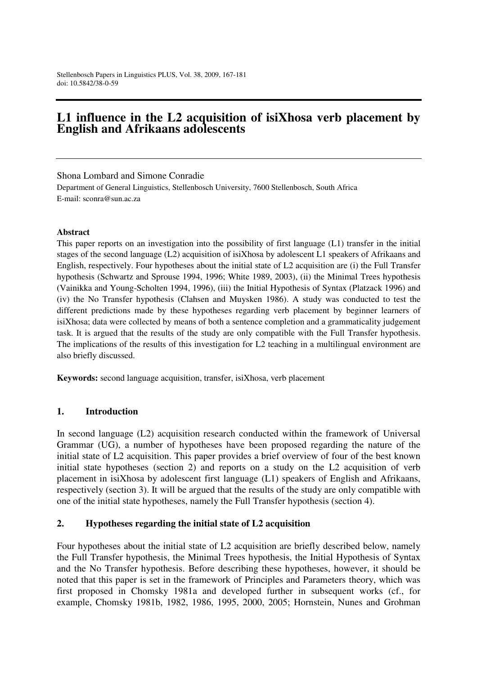## **L1 influence in the L2 acquisition of isiXhosa verb placement by English and Afrikaans adolescents**

Shona Lombard and Simone Conradie

Department of General Linguistics, Stellenbosch University, 7600 Stellenbosch, South Africa E-mail: sconra@sun.ac.za

#### **Abstract**

This paper reports on an investigation into the possibility of first language (L1) transfer in the initial stages of the second language (L2) acquisition of isiXhosa by adolescent L1 speakers of Afrikaans and English, respectively. Four hypotheses about the initial state of L2 acquisition are (i) the Full Transfer hypothesis (Schwartz and Sprouse 1994, 1996; White 1989, 2003), (ii) the Minimal Trees hypothesis (Vainikka and Young-Scholten 1994, 1996), (iii) the Initial Hypothesis of Syntax (Platzack 1996) and (iv) the No Transfer hypothesis (Clahsen and Muysken 1986). A study was conducted to test the different predictions made by these hypotheses regarding verb placement by beginner learners of isiXhosa; data were collected by means of both a sentence completion and a grammaticality judgement task. It is argued that the results of the study are only compatible with the Full Transfer hypothesis. The implications of the results of this investigation for L2 teaching in a multilingual environment are also briefly discussed.

**Keywords:** second language acquisition, transfer, isiXhosa, verb placement

#### **1. Introduction**

In second language (L2) acquisition research conducted within the framework of Universal Grammar (UG), a number of hypotheses have been proposed regarding the nature of the initial state of L2 acquisition. This paper provides a brief overview of four of the best known initial state hypotheses (section 2) and reports on a study on the L2 acquisition of verb placement in isiXhosa by adolescent first language (L1) speakers of English and Afrikaans, respectively (section 3). It will be argued that the results of the study are only compatible with one of the initial state hypotheses, namely the Full Transfer hypothesis (section 4).

#### **2. Hypotheses regarding the initial state of L2 acquisition**

Four hypotheses about the initial state of L2 acquisition are briefly described below, namely the Full Transfer hypothesis, the Minimal Trees hypothesis, the Initial Hypothesis of Syntax and the No Transfer hypothesis. Before describing these hypotheses, however, it should be noted that this paper is set in the framework of Principles and Parameters theory, which was first proposed in Chomsky 1981a and developed further in subsequent works (cf., for example, Chomsky 1981b, 1982, 1986, 1995, 2000, 2005; Hornstein, Nunes and Grohman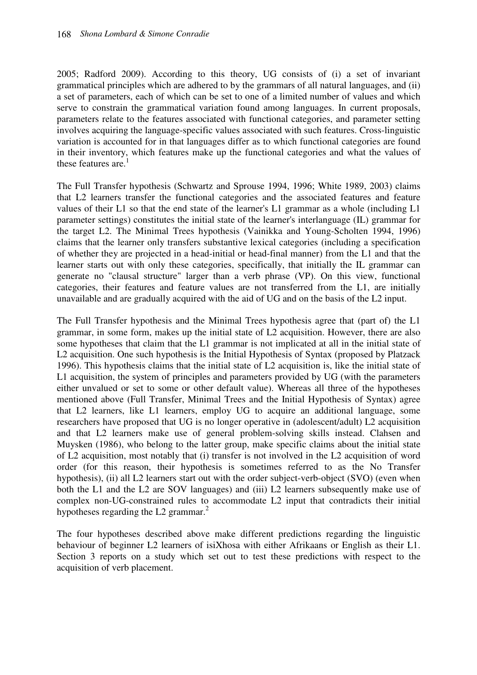2005; Radford 2009). According to this theory, UG consists of (i) a set of invariant grammatical principles which are adhered to by the grammars of all natural languages, and (ii) a set of parameters, each of which can be set to one of a limited number of values and which serve to constrain the grammatical variation found among languages. In current proposals, parameters relate to the features associated with functional categories, and parameter setting involves acquiring the language-specific values associated with such features. Cross-linguistic variation is accounted for in that languages differ as to which functional categories are found in their inventory, which features make up the functional categories and what the values of these features are. $<sup>1</sup>$ </sup>

The Full Transfer hypothesis (Schwartz and Sprouse 1994, 1996; White 1989, 2003) claims that L2 learners transfer the functional categories and the associated features and feature values of their L1 so that the end state of the learner's L1 grammar as a whole (including L1 parameter settings) constitutes the initial state of the learner's interlanguage (IL) grammar for the target L2. The Minimal Trees hypothesis (Vainikka and Young-Scholten 1994, 1996) claims that the learner only transfers substantive lexical categories (including a specification of whether they are projected in a head-initial or head-final manner) from the L1 and that the learner starts out with only these categories, specifically, that initially the IL grammar can generate no "clausal structure" larger than a verb phrase (VP). On this view, functional categories, their features and feature values are not transferred from the L1, are initially unavailable and are gradually acquired with the aid of UG and on the basis of the L2 input.

The Full Transfer hypothesis and the Minimal Trees hypothesis agree that (part of) the L1 grammar, in some form, makes up the initial state of L2 acquisition. However, there are also some hypotheses that claim that the L1 grammar is not implicated at all in the initial state of L2 acquisition. One such hypothesis is the Initial Hypothesis of Syntax (proposed by Platzack 1996). This hypothesis claims that the initial state of L2 acquisition is, like the initial state of L1 acquisition, the system of principles and parameters provided by UG (with the parameters either unvalued or set to some or other default value). Whereas all three of the hypotheses mentioned above (Full Transfer, Minimal Trees and the Initial Hypothesis of Syntax) agree that L2 learners, like L1 learners, employ UG to acquire an additional language, some researchers have proposed that UG is no longer operative in (adolescent/adult) L2 acquisition and that L2 learners make use of general problem-solving skills instead. Clahsen and Muysken (1986), who belong to the latter group, make specific claims about the initial state of L2 acquisition, most notably that (i) transfer is not involved in the L2 acquisition of word order (for this reason, their hypothesis is sometimes referred to as the No Transfer hypothesis), (ii) all L2 learners start out with the order subject-verb-object (SVO) (even when both the L1 and the L2 are SOV languages) and (iii) L2 learners subsequently make use of complex non-UG-constrained rules to accommodate L2 input that contradicts their initial hypotheses regarding the L2 grammar.<sup>2</sup>

The four hypotheses described above make different predictions regarding the linguistic behaviour of beginner L2 learners of isiXhosa with either Afrikaans or English as their L1. Section 3 reports on a study which set out to test these predictions with respect to the acquisition of verb placement.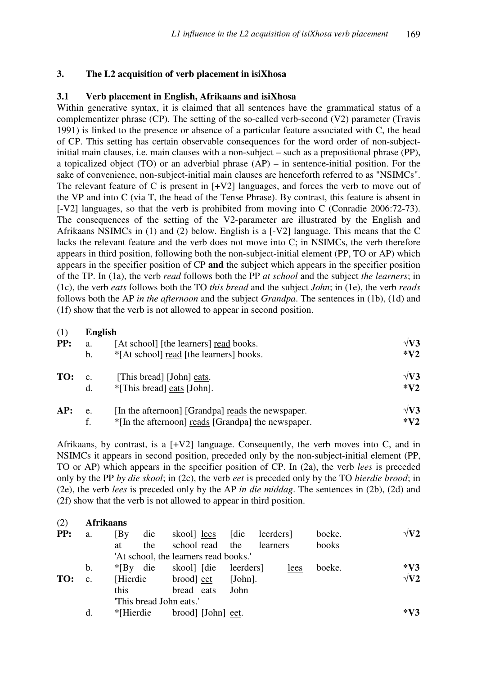## **3. The L2 acquisition of verb placement in isiXhosa**

#### **3.1 Verb placement in English, Afrikaans and isiXhosa**

Within generative syntax, it is claimed that all sentences have the grammatical status of a complementizer phrase (CP). The setting of the so-called verb-second (V2) parameter (Travis 1991) is linked to the presence or absence of a particular feature associated with C, the head of CP. This setting has certain observable consequences for the word order of non-subjectinitial main clauses, i.e. main clauses with a non-subject – such as a prepositional phrase (PP), a topicalized object (TO) or an adverbial phrase (AP) – in sentence-initial position. For the sake of convenience, non-subject-initial main clauses are henceforth referred to as "NSIMCs". The relevant feature of C is present in [+V2] languages, and forces the verb to move out of the VP and into C (via T, the head of the Tense Phrase). By contrast, this feature is absent in [-V2] languages, so that the verb is prohibited from moving into C (Conradie 2006:72-73). The consequences of the setting of the V2-parameter are illustrated by the English and Afrikaans NSIMCs in (1) and (2) below. English is a [-V2] language. This means that the C lacks the relevant feature and the verb does not move into C; in NSIMCs, the verb therefore appears in third position, following both the non-subject-initial element (PP, TO or AP) which appears in the specifier position of CP **and** the subject which appears in the specifier position of the TP. In (1a), the verb *read* follows both the PP *at school* and the subject *the learners*; in (1c), the verb *eats* follows both the TO *this bread* and the subject *John*; in (1e), the verb *reads*  follows both the AP *in the afternoon* and the subject *Grandpa*. The sentences in (1b), (1d) and (1f) show that the verb is not allowed to appear in second position.

| (1) | <b>English</b> |                                                           |              |
|-----|----------------|-----------------------------------------------------------|--------------|
| PP: | a.             | [At school] [the learners] read books.                    | $\sqrt{V}3$  |
|     | $\mathbf b$ .  | *[At school] read [the learners] books.                   | $*V2$        |
| TO: | C <sub>1</sub> | [This bread] [John] eats.                                 | $\sqrt{V}$ 3 |
|     | d.             | *[This bread] eats [John].                                | $*V2$        |
| AP: | e.             | [In the afternoon] [Grandpa] reads the newspaper.         | $\sqrt{V}3$  |
|     | f.             | *[In the afternoon] <u>reads</u> [Grandpa] the newspaper. | $*V2$        |

Afrikaans, by contrast, is a  $[+V2]$  language. Consequently, the verb moves into C, and in NSIMCs it appears in second position, preceded only by the non-subject-initial element (PP, TO or AP) which appears in the specifier position of CP. In (2a), the verb *lees* is preceded only by the PP *by die skool*; in (2c), the verb *eet* is preceded only by the TO *hierdie brood*; in (2e), the verb *lees* is preceded only by the AP *in die middag*. The sentences in (2b), (2d) and (2f) show that the verb is not allowed to appear in third position.

| (2) | <b>Afrikaans</b> |             |     |                                       |                   |            |                 |      |        |             |
|-----|------------------|-------------|-----|---------------------------------------|-------------------|------------|-----------------|------|--------|-------------|
| PP: | a.               | [By         | die | skool lees                            |                   | [die       | leerders        |      | boeke. | $\sqrt{V2}$ |
|     |                  | at          | the |                                       | school read the   |            | <i>learners</i> |      | books  |             |
|     |                  |             |     | 'At school, the learners read books.' |                   |            |                 |      |        |             |
|     | b.               | $*$ [By die |     | skool [die                            |                   | leerders]  |                 | lees | boeke. | $*V3$       |
| TO: | C.               | [Hierdie]   |     | brood eet                             |                   | $[John]$ . |                 |      |        | $\sqrt{V2}$ |
|     |                  | this        |     | bread eats                            |                   | John       |                 |      |        |             |
|     |                  |             |     | "This bread John eats."               |                   |            |                 |      |        |             |
|     | d.               | *Hierdie    |     |                                       | brood [John] eet. |            |                 |      |        | $*V3$       |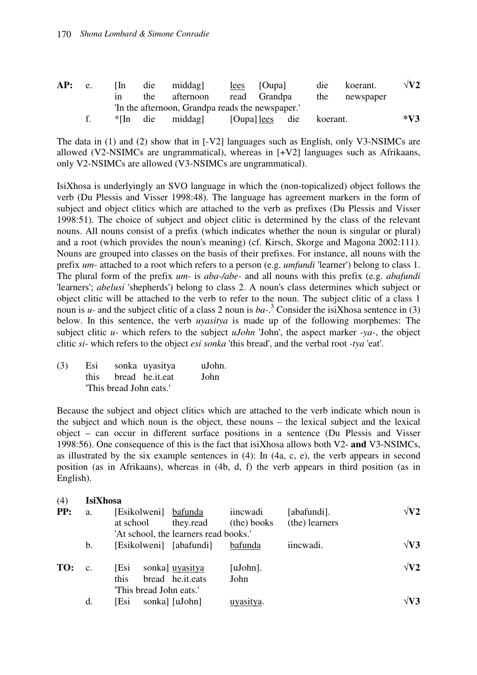| AP: | e. | l In-<br>1n     | die<br>the                    | middag<br>afternoon                              | lees | [Oupa]<br>read Grandpa    | die<br>the | koerant.<br>newspaper | $\sqrt{V2}$ |
|-----|----|-----------------|-------------------------------|--------------------------------------------------|------|---------------------------|------------|-----------------------|-------------|
|     |    |                 |                               | 'In the afternoon, Grandpa reads the newspaper.' |      |                           |            |                       |             |
|     |    | $*$ $\text{In}$ | $\therefore$ die $\therefore$ | middag]                                          |      | [Oupa] <u>lees</u><br>die | koerant.   |                       | $*V3$       |

The data in (1) and (2) show that in [-V2] languages such as English, only V3-NSIMCs are allowed (V2-NSIMCs are ungrammatical), whereas in [+V2] languages such as Afrikaans, only V2-NSIMCs are allowed (V3-NSIMCs are ungrammatical).

IsiXhosa is underlyingly an SVO language in which the (non-topicalized) object follows the verb (Du Plessis and Visser 1998:48). The language has agreement markers in the form of subject and object clitics which are attached to the verb as prefixes (Du Plessis and Visser 1998:51). The choice of subject and object clitic is determined by the class of the relevant nouns. All nouns consist of a prefix (which indicates whether the noun is singular or plural) and a root (which provides the noun's meaning) (cf. Kirsch, Skorge and Magona 2002:111). Nouns are grouped into classes on the basis of their prefixes. For instance, all nouns with the prefix *um-* attached to a root which refers to a person (e.g. *umfundi* 'learner') belong to class 1. The plural form of the prefix *um-* is *aba-/abe-* and all nouns with this prefix (e.g. *abafundi* 'learners'; *abelusi* 'shepherds') belong to class 2. A noun's class determines which subject or object clitic will be attached to the verb to refer to the noun. The subject clitic of a class 1 noun is *u*- and the subject clitic of a class 2 noun is  $ba$ <sup>3</sup>. Consider the isiXhosa sentence in (3) below. In this sentence, the verb *uyasitya* is made up of the following morphemes: The subject clitic *u-* which refers to the subject *uJohn* 'John', the aspect marker *-ya-*, the object clitic *si-* which refers to the object *esi sonka* 'this bread', and the verbal root *-tya* 'eat'.

| (3) |                         | Esi sonka uyasitya   | uJohn. |
|-----|-------------------------|----------------------|--------|
|     |                         | this bread he.it.eat | John   |
|     | "This bread John eats." |                      |        |

Because the subject and object clitics which are attached to the verb indicate which noun is the subject and which noun is the object, these nouns – the lexical subject and the lexical object – can occur in different surface positions in a sentence (Du Plessis and Visser 1998:56). One consequence of this is the fact that isiXhosa allows both V2- **and** V3-NSIMCs, as illustrated by the six example sentences in (4): In (4a, c, e), the verb appears in second position (as in Afrikaans), whereas in (4b, d, f) the verb appears in third position (as in English).

# (4) **IsiXhosa PP:** a. [Esikolweni] <u>bafunda</u> iincwadi [abafundi]. √**V2**  at school they.read (the) books (the) learners 'At school, the learners read books.' b. [Esikolweni] [abafundi] bafunda iincwadi. √**V3 TO: c.** [Esi sonka] uyasitya [uJohn].  $\sqrt{V2}$  this bread he.it.eats John 'This bread John eats.' d. [Esi sonka] [uJohn] uyasitya.  $\sqrt{V3}$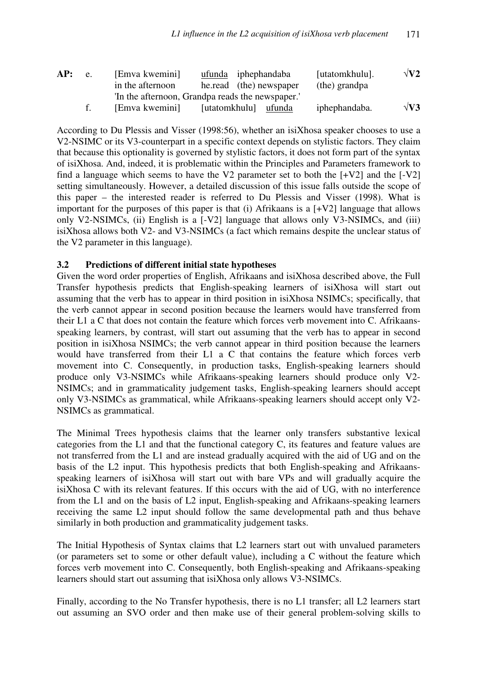| AP: | e. | [Emva kwemini]<br>in the afternoon               | ufunda iphephandaba<br>he.read (the) newspaper |        | [utatomkhulu].<br>(the) grandpa | $\sqrt{V2}$ |
|-----|----|--------------------------------------------------|------------------------------------------------|--------|---------------------------------|-------------|
|     |    | 'In the afternoon, Grandpa reads the newspaper.' |                                                |        |                                 |             |
|     | f  | [Emva kwemini]                                   | [utatomkhulu]                                  | ufunda | iphephandaba.                   | $\sqrt{V}3$ |

According to Du Plessis and Visser (1998:56), whether an isiXhosa speaker chooses to use a V2-NSIMC or its V3-counterpart in a specific context depends on stylistic factors. They claim that because this optionality is governed by stylistic factors, it does not form part of the syntax of isiXhosa. And, indeed, it is problematic within the Principles and Parameters framework to find a language which seems to have the V2 parameter set to both the  $[+V2]$  and the  $[-V2]$ setting simultaneously. However, a detailed discussion of this issue falls outside the scope of this paper – the interested reader is referred to Du Plessis and Visser (1998). What is important for the purposes of this paper is that (i) Afrikaans is a [+V2] language that allows only V2-NSIMCs, (ii) English is a [-V2] language that allows only V3-NSIMCs, and (iii) isiXhosa allows both V2- and V3-NSIMCs (a fact which remains despite the unclear status of the V2 parameter in this language).

#### **3.2 Predictions of different initial state hypotheses**

Given the word order properties of English, Afrikaans and isiXhosa described above, the Full Transfer hypothesis predicts that English-speaking learners of isiXhosa will start out assuming that the verb has to appear in third position in isiXhosa NSIMCs; specifically, that the verb cannot appear in second position because the learners would have transferred from their L1 a C that does not contain the feature which forces verb movement into C. Afrikaansspeaking learners, by contrast, will start out assuming that the verb has to appear in second position in isiXhosa NSIMCs; the verb cannot appear in third position because the learners would have transferred from their L1 a C that contains the feature which forces verb movement into C. Consequently, in production tasks, English-speaking learners should produce only V3-NSIMCs while Afrikaans-speaking learners should produce only V2- NSIMCs; and in grammaticality judgement tasks, English-speaking learners should accept only V3-NSIMCs as grammatical, while Afrikaans-speaking learners should accept only V2- NSIMCs as grammatical.

The Minimal Trees hypothesis claims that the learner only transfers substantive lexical categories from the L1 and that the functional category C, its features and feature values are not transferred from the L1 and are instead gradually acquired with the aid of UG and on the basis of the L2 input. This hypothesis predicts that both English-speaking and Afrikaansspeaking learners of isiXhosa will start out with bare VPs and will gradually acquire the isiXhosa C with its relevant features. If this occurs with the aid of UG, with no interference from the L1 and on the basis of L2 input, English-speaking and Afrikaans-speaking learners receiving the same L2 input should follow the same developmental path and thus behave similarly in both production and grammaticality judgement tasks.

The Initial Hypothesis of Syntax claims that L2 learners start out with unvalued parameters (or parameters set to some or other default value), including a C without the feature which forces verb movement into C. Consequently, both English-speaking and Afrikaans-speaking learners should start out assuming that isiXhosa only allows V3-NSIMCs.

Finally, according to the No Transfer hypothesis, there is no L1 transfer; all L2 learners start out assuming an SVO order and then make use of their general problem-solving skills to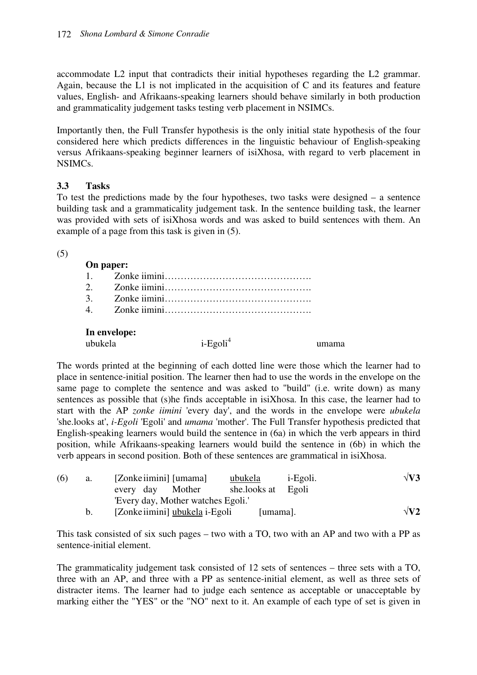accommodate L2 input that contradicts their initial hypotheses regarding the L2 grammar. Again, because the L1 is not implicated in the acquisition of C and its features and feature values, English- and Afrikaans-speaking learners should behave similarly in both production and grammaticality judgement tasks testing verb placement in NSIMCs.

Importantly then, the Full Transfer hypothesis is the only initial state hypothesis of the four considered here which predicts differences in the linguistic behaviour of English-speaking versus Afrikaans-speaking beginner learners of isiXhosa, with regard to verb placement in NSIMCs.

#### **3.3 Tasks**

To test the predictions made by the four hypotheses, two tasks were designed – a sentence building task and a grammaticality judgement task. In the sentence building task, the learner was provided with sets of isiXhosa words and was asked to build sentences with them. An example of a page from this task is given in (5).

#### (5)

|                | On paper: |  |
|----------------|-----------|--|
|                |           |  |
|                |           |  |
| $\mathcal{E}$  |           |  |
| $\overline{4}$ |           |  |

The words printed at the beginning of each dotted line were those which the learner had to place in sentence-initial position. The learner then had to use the words in the envelope on the same page to complete the sentence and was asked to "build" (i.e. write down) as many sentences as possible that (s)he finds acceptable in isiXhosa. In this case, the learner had to start with the AP *zonke iimini* 'every day', and the words in the envelope were *ubukela*  'she.looks at', *i-Egoli* 'Egoli' and *umama* 'mother'. The Full Transfer hypothesis predicted that English-speaking learners would build the sentence in (6a) in which the verb appears in third position, while Afrikaans-speaking learners would build the sentence in (6b) in which the verb appears in second position. Both of these sentences are grammatical in isiXhosa.

| (6) | a.      | [Zonke iimini] [umama]             | ubukela      | <i>i</i> -Egoli. | $\sqrt{V3}$ |
|-----|---------|------------------------------------|--------------|------------------|-------------|
|     |         | Mother<br>every day                | she.looks at | Egoli            |             |
|     |         | 'Every day, Mother watches Egoli.' |              |                  |             |
|     | $b_{1}$ | [Zonke iimini] ubukela i-Egoli     | [umama].     |                  | $\sqrt{V2}$ |

This task consisted of six such pages – two with a TO, two with an AP and two with a PP as sentence-initial element.

The grammaticality judgement task consisted of 12 sets of sentences – three sets with a TO, three with an AP, and three with a PP as sentence-initial element, as well as three sets of distracter items. The learner had to judge each sentence as acceptable or unacceptable by marking either the "YES" or the "NO" next to it. An example of each type of set is given in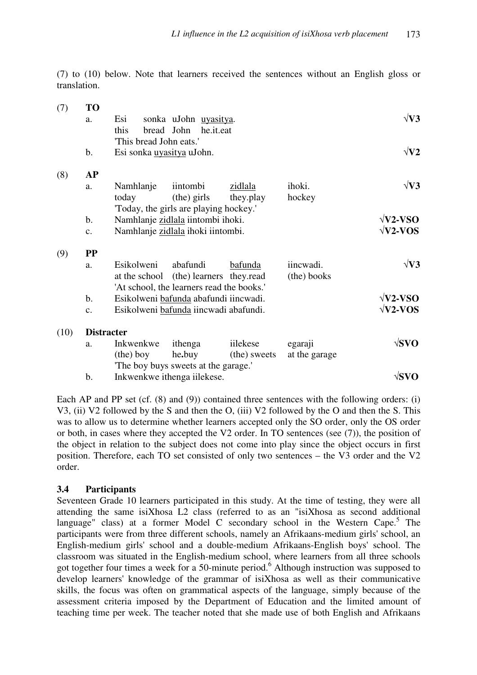(7) to (10) below. Note that learners received the sentences without an English gloss or translation.

| (7)  | <b>TO</b>       |                           |                                           |              |               |                 |
|------|-----------------|---------------------------|-------------------------------------------|--------------|---------------|-----------------|
|      | a.              | Esi                       | sonka uJohn uyasitya.                     |              |               | $\sqrt{V}3$     |
|      |                 | this                      | bread John<br>he.it.eat                   |              |               |                 |
|      |                 | This bread John eats.'    |                                           |              |               |                 |
|      | $\mathbf b$ .   | Esi sonka uyasitya uJohn. |                                           |              |               | $\sqrt{V2}$     |
| (8)  | <b>AP</b>       |                           |                                           |              |               |                 |
|      | a.              | Namhlanje                 | iintombi                                  | zidlala      | ihoki.        | $\sqrt{V3}$     |
|      |                 | today                     | (the) girls                               | they.play    | hockey        |                 |
|      |                 |                           | 'Today, the girls are playing hockey.'    |              |               |                 |
|      | $\mathbf b$ .   |                           | Namhlanje zidlala iintombi ihoki.         |              |               | $\sqrt{V2-VSO}$ |
|      | c.              |                           | Namhlanje zidlala ihoki iintombi.         |              |               | $\sqrt{V2-VOS}$ |
| (9)  | $\bf PP$        |                           |                                           |              |               |                 |
|      | a.              | Esikolweni                | abafundi                                  | bafunda      | iincwadi.     | $\sqrt{V}3$     |
|      |                 | at the school             | (the) learners they.read                  |              | (the) books   |                 |
|      |                 |                           | 'At school, the learners read the books.' |              |               |                 |
|      | $\mathbf b$ .   |                           | Esikolweni bafunda abafundi iincwadi.     |              |               | $\sqrt{V2-VSO}$ |
|      | $\mathcal{C}$ . |                           | Esikolweni bafunda iincwadi abafundi.     |              |               | $\sqrt{V2-VOS}$ |
| (10) |                 | <b>Distracter</b>         |                                           |              |               |                 |
|      | a.              | Inkwenkwe                 | ithenga                                   | iilekese     | egaraji       | $\sqrt{SVO}$    |
|      |                 | $(the)$ boy               | he.buy                                    | (the) sweets | at the garage |                 |
|      |                 |                           | The boy buys sweets at the garage.        |              |               |                 |
|      | b.              |                           | Inkwenkwe ithenga iilekese.               |              |               | $\sqrt{SVO}$    |

Each AP and PP set (cf. (8) and (9)) contained three sentences with the following orders: (i) V3, (ii) V2 followed by the S and then the O, (iii) V2 followed by the O and then the S. This was to allow us to determine whether learners accepted only the SO order, only the OS order or both, in cases where they accepted the V2 order. In TO sentences (see (7)), the position of the object in relation to the subject does not come into play since the object occurs in first position. Therefore, each TO set consisted of only two sentences – the V3 order and the V2 order.

#### **3.4 Participants**

Seventeen Grade 10 learners participated in this study. At the time of testing, they were all attending the same isiXhosa L2 class (referred to as an "isiXhosa as second additional language" class) at a former Model C secondary school in the Western Cape.<sup>5</sup> The participants were from three different schools, namely an Afrikaans-medium girls' school, an English-medium girls' school and a double-medium Afrikaans-English boys' school. The classroom was situated in the English-medium school, where learners from all three schools got together four times a week for a 50-minute period.<sup>6</sup> Although instruction was supposed to develop learners' knowledge of the grammar of isiXhosa as well as their communicative skills, the focus was often on grammatical aspects of the language, simply because of the assessment criteria imposed by the Department of Education and the limited amount of teaching time per week. The teacher noted that she made use of both English and Afrikaans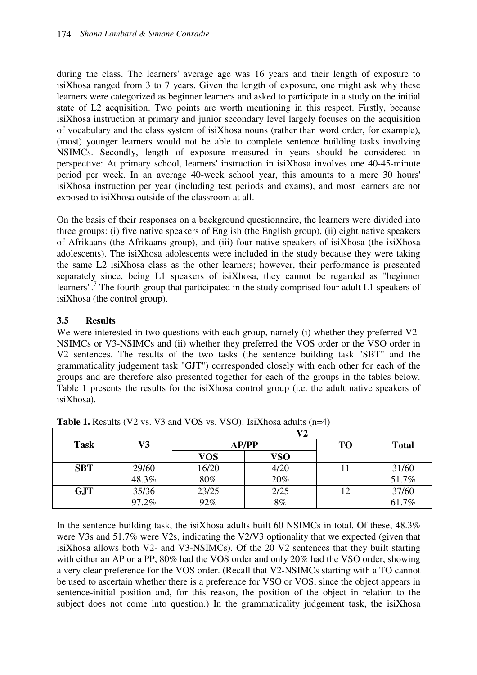during the class. The learners' average age was 16 years and their length of exposure to isiXhosa ranged from 3 to 7 years. Given the length of exposure, one might ask why these learners were categorized as beginner learners and asked to participate in a study on the initial state of L2 acquisition. Two points are worth mentioning in this respect. Firstly, because isiXhosa instruction at primary and junior secondary level largely focuses on the acquisition of vocabulary and the class system of isiXhosa nouns (rather than word order, for example), (most) younger learners would not be able to complete sentence building tasks involving NSIMCs. Secondly, length of exposure measured in years should be considered in perspective: At primary school, learners' instruction in isiXhosa involves one 40-45-minute period per week. In an average 40-week school year, this amounts to a mere 30 hours' isiXhosa instruction per year (including test periods and exams), and most learners are not exposed to isiXhosa outside of the classroom at all.

On the basis of their responses on a background questionnaire, the learners were divided into three groups: (i) five native speakers of English (the English group), (ii) eight native speakers of Afrikaans (the Afrikaans group), and (iii) four native speakers of isiXhosa (the isiXhosa adolescents). The isiXhosa adolescents were included in the study because they were taking the same L2 isiXhosa class as the other learners; however, their performance is presented separately since, being L1 speakers of isiXhosa, they cannot be regarded as "beginner learners".<sup>7</sup> The fourth group that participated in the study comprised four adult L1 speakers of isiXhosa (the control group).

## **3.5 Results**

We were interested in two questions with each group, namely (i) whether they preferred V2-NSIMCs or V3-NSIMCs and (ii) whether they preferred the VOS order or the VSO order in V2 sentences. The results of the two tasks (the sentence building task "SBT" and the grammaticality judgement task "GJT") corresponded closely with each other for each of the groups and are therefore also presented together for each of the groups in the tables below. Table 1 presents the results for the isiXhosa control group (i.e. the adult native speakers of isiXhosa).

|             |       |       | V2   |           |              |
|-------------|-------|-------|------|-----------|--------------|
| <b>Task</b> | V3    | AP/PP |      | <b>TO</b> | <b>Total</b> |
|             |       | VOS   | VSO  |           |              |
| <b>SBT</b>  | 29/60 | 16/20 | 4/20 |           | 31/60        |
|             | 48.3% | 80%   | 20%  |           | 51.7%        |
| <b>GJT</b>  | 35/36 | 23/25 | 2/25 | 12        | 37/60        |
|             | 97.2% | 92%   | 8%   |           | 61.7%        |

**Table 1.** Results (V2 vs. V3 and VOS vs. VSO): IsiXhosa adults (n=4)

In the sentence building task, the isiXhosa adults built 60 NSIMCs in total. Of these, 48.3% were V3s and 51.7% were V2s, indicating the V2/V3 optionality that we expected (given that isiXhosa allows both V2- and V3-NSIMCs). Of the 20 V2 sentences that they built starting with either an AP or a PP, 80% had the VOS order and only 20% had the VSO order, showing a very clear preference for the VOS order. (Recall that V2-NSIMCs starting with a TO cannot be used to ascertain whether there is a preference for VSO or VOS, since the object appears in sentence-initial position and, for this reason, the position of the object in relation to the subject does not come into question.) In the grammaticality judgement task, the isiXhosa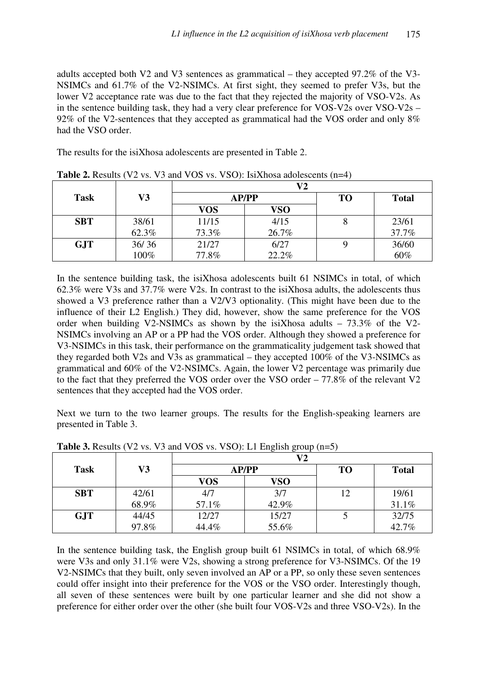adults accepted both V2 and V3 sentences as grammatical – they accepted 97.2% of the V3- NSIMCs and 61.7% of the V2-NSIMCs. At first sight, they seemed to prefer V3s, but the lower V2 acceptance rate was due to the fact that they rejected the majority of VSO-V2s. As in the sentence building task, they had a very clear preference for VOS-V2s over VSO-V2s – 92% of the V2-sentences that they accepted as grammatical had the VOS order and only 8% had the VSO order.

The results for the isiXhosa adolescents are presented in Table 2.

|             |       |       | $\bf V2$     |    |              |
|-------------|-------|-------|--------------|----|--------------|
| <b>Task</b> | V3    |       | <b>AP/PP</b> | TO | <b>Total</b> |
|             |       | VOS   | VSO          |    |              |
| <b>SBT</b>  | 38/61 | 11/15 | 4/15         |    | 23/61        |
|             | 62.3% | 73.3% | 26.7%        |    | 37.7%        |
| <b>GJT</b>  | 36/36 | 21/27 | 6/27         |    | 36/60        |
|             | 100%  | 77.8% | 22.2%        |    | 60%          |

**Table 2.** Results (V2 vs. V3 and VOS vs. VSO): IsiXhosa adolescents (n=4)

In the sentence building task, the isiXhosa adolescents built 61 NSIMCs in total, of which 62.3% were V3s and 37.7% were V2s. In contrast to the isiXhosa adults, the adolescents thus showed a V3 preference rather than a V2/V3 optionality. (This might have been due to the influence of their L2 English.) They did, however, show the same preference for the VOS order when building V2-NSIMCs as shown by the isiXhosa adults – 73.3% of the V2- NSIMCs involving an AP or a PP had the VOS order. Although they showed a preference for V3-NSIMCs in this task, their performance on the grammaticality judgement task showed that they regarded both V2s and V3s as grammatical – they accepted 100% of the V3-NSIMCs as grammatical and 60% of the V2-NSIMCs. Again, the lower V2 percentage was primarily due to the fact that they preferred the VOS order over the VSO order  $-77.8\%$  of the relevant V2 sentences that they accepted had the VOS order.

Next we turn to the two learner groups. The results for the English-speaking learners are presented in Table 3.

|             |       |            | V2    |    |              |
|-------------|-------|------------|-------|----|--------------|
| <b>Task</b> | V3    |            | AP/PP |    | <b>Total</b> |
|             |       | <b>VOS</b> | VSO   |    |              |
| <b>SBT</b>  | 42/61 | 4/7        | 3/7   | 12 | 19/61        |
|             | 68.9% | 57.1%      | 42.9% |    | 31.1%        |
| <b>GJT</b>  | 44/45 | 12/27      | 15/27 |    | 32/75        |
|             | 97.8% | 44.4%      | 55.6% |    | 42.7%        |

**Table 3.** Results (V2 vs. V3 and VOS vs. VSO): L1 English group (n=5)

In the sentence building task, the English group built 61 NSIMCs in total, of which 68.9% were V3s and only 31.1% were V2s, showing a strong preference for V3-NSIMCs. Of the 19 V2-NSIMCs that they built, only seven involved an AP or a PP, so only these seven sentences could offer insight into their preference for the VOS or the VSO order. Interestingly though, all seven of these sentences were built by one particular learner and she did not show a preference for either order over the other (she built four VOS-V2s and three VSO-V2s). In the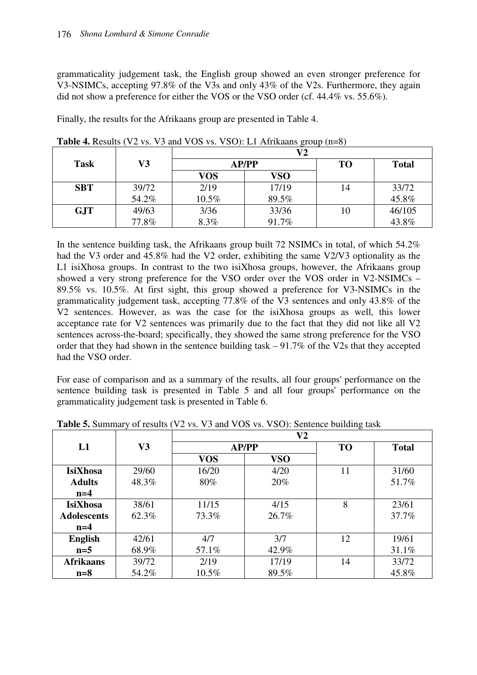grammaticality judgement task, the English group showed an even stronger preference for V3-NSIMCs, accepting 97.8% of the V3s and only 43% of the V2s. Furthermore, they again did not show a preference for either the VOS or the VSO order (cf. 44.4% vs. 55.6%).

Finally, the results for the Afrikaans group are presented in Table 4.

| <b>Task</b> | V3    |            | AP/PP |     | <b>Total</b> |
|-------------|-------|------------|-------|-----|--------------|
|             |       | <b>VOS</b> | VSO   |     |              |
| <b>SBT</b>  | 39/72 | 2/19       | 17/19 | l 4 | 33/72        |
|             | 54.2% | 10.5%      | 89.5% |     | 45.8%        |
| <b>GJT</b>  | 49/63 | 3/36       | 33/36 | 10  | 46/105       |
|             | 77.8% | 8.3%       | 91.7% |     | 43.8%        |

**Table 4.** Results (V2 vs. V3 and VOS vs. VSO): L1 Afrikaans group (n=8)

In the sentence building task, the Afrikaans group built 72 NSIMCs in total, of which 54.2% had the V3 order and 45.8% had the V2 order, exhibiting the same V2/V3 optionality as the L1 isiXhosa groups. In contrast to the two isiXhosa groups, however, the Afrikaans group showed a very strong preference for the VSO order over the VOS order in V2-NSIMCs – 89.5% vs. 10.5%. At first sight, this group showed a preference for V3-NSIMCs in the grammaticality judgement task, accepting 77.8% of the V3 sentences and only 43.8% of the V2 sentences. However, as was the case for the isiXhosa groups as well, this lower acceptance rate for V2 sentences was primarily due to the fact that they did not like all V2 sentences across-the-board; specifically, they showed the same strong preference for the VSO order that they had shown in the sentence building task – 91.7% of the V2s that they accepted had the VSO order.

For ease of comparison and as a summary of the results, all four groups' performance on the sentence building task is presented in Table 5 and all four groups' performance on the grammaticality judgement task is presented in Table 6.

|                    | V3    | V <sub>2</sub> |            |           |              |  |
|--------------------|-------|----------------|------------|-----------|--------------|--|
| L1                 |       | AP/PP          |            | <b>TO</b> | <b>Total</b> |  |
|                    |       | <b>VOS</b>     | <b>VSO</b> |           |              |  |
| <b>IsiXhosa</b>    | 29/60 | 16/20          | 4/20       | 11        | 31/60        |  |
| <b>Adults</b>      | 48.3% | 80%            | 20%        |           | 51.7%        |  |
| $n=4$              |       |                |            |           |              |  |
| <b>IsiXhosa</b>    | 38/61 | 11/15          | 4/15       | 8         | 23/61        |  |
| <b>Adolescents</b> | 62.3% | 73.3%          | 26.7%      |           | 37.7%        |  |
| $n=4$              |       |                |            |           |              |  |
| <b>English</b>     | 42/61 | 4/7            | 3/7        | 12        | 19/61        |  |
| $n=5$              | 68.9% | 57.1%          | 42.9%      |           | 31.1%        |  |
| <b>Afrikaans</b>   | 39/72 | 2/19           | 17/19      | 14        | 33/72        |  |
| $n=8$              | 54.2% | $10.5\%$       | 89.5%      |           | 45.8%        |  |

**Table 5.** Summary of results (V2 vs. V3 and VOS vs. VSO): Sentence building task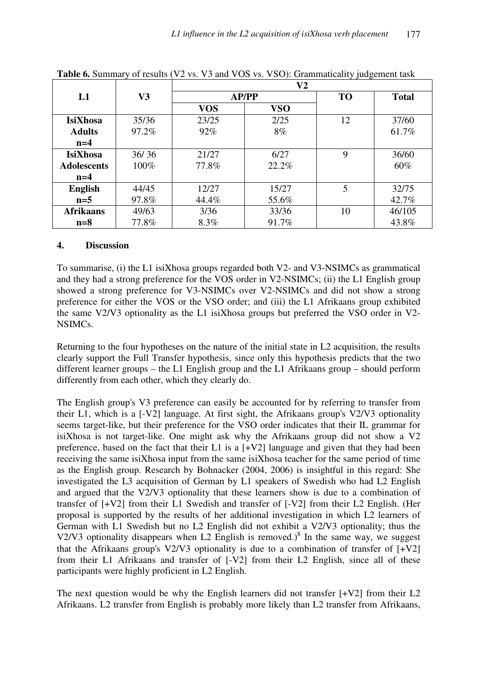|                    | V3    | ັັ<br>V <sub>2</sub> |            |           |              |  |
|--------------------|-------|----------------------|------------|-----------|--------------|--|
| L1                 |       | AP/PP                |            | <b>TO</b> | <b>Total</b> |  |
|                    |       | <b>VOS</b>           | <b>VSO</b> |           |              |  |
| <b>IsiXhosa</b>    | 35/36 | 23/25                | 2/25       | 12        | 37/60        |  |
| <b>Adults</b>      | 97.2% | 92%                  | 8%         |           | 61.7%        |  |
| $n=4$              |       |                      |            |           |              |  |
| <b>IsiXhosa</b>    | 36/36 | 21/27                | 6/27       | 9         | 36/60        |  |
| <b>Adolescents</b> | 100%  | 77.8%                | 22.2%      |           | 60%          |  |
| $n=4$              |       |                      |            |           |              |  |
| <b>English</b>     | 44/45 | 12/27                | 15/27      | 5         | 32/75        |  |
| $n=5$              | 97.8% | 44.4%                | 55.6%      |           | 42.7%        |  |
| <b>Afrikaans</b>   | 49/63 | 3/36                 | 33/36      | 10        | 46/105       |  |
| $n=8$              | 77.8% | 8.3%                 | 91.7%      |           | 43.8%        |  |

**Table 6.** Summary of results (V2 vs. V3 and VOS vs. VSO): Grammaticality judgement task

#### **4. Discussion**

To summarise, (i) the L1 isiXhosa groups regarded both V2- and V3-NSIMCs as grammatical and they had a strong preference for the VOS order in V2-NSIMCs; (ii) the L1 English group showed a strong preference for V3-NSIMCs over V2-NSIMCs and did not show a strong preference for either the VOS or the VSO order; and (iii) the L1 Afrikaans group exhibited the same V2/V3 optionality as the L1 isiXhosa groups but preferred the VSO order in V2- NSIMCs.

Returning to the four hypotheses on the nature of the initial state in L2 acquisition, the results clearly support the Full Transfer hypothesis, since only this hypothesis predicts that the two different learner groups – the L1 English group and the L1 Afrikaans group – should perform differently from each other, which they clearly do.

The English group's V3 preference can easily be accounted for by referring to transfer from their L1, which is a [-V2] language. At first sight, the Afrikaans group's V2/V3 optionality seems target-like, but their preference for the VSO order indicates that their IL grammar for isiXhosa is not target-like. One might ask why the Afrikaans group did not show a V2 preference, based on the fact that their L1 is a [+V2] language and given that they had been receiving the same isiXhosa input from the same isiXhosa teacher for the same period of time as the English group. Research by Bohnacker (2004, 2006) is insightful in this regard: She investigated the L3 acquisition of German by L1 speakers of Swedish who had L2 English and argued that the V2/V3 optionality that these learners show is due to a combination of transfer of [+V2] from their L1 Swedish and transfer of [-V2] from their L2 English. (Her proposal is supported by the results of her additional investigation in which L2 learners of German with L1 Swedish but no L2 English did not exhibit a V2/V3 optionality; thus the V2/V3 optionality disappears when L2 English is removed.)<sup>8</sup> In the same way, we suggest that the Afrikaans group's V2/V3 optionality is due to a combination of transfer of  $[+V2]$ from their L1 Afrikaans and transfer of [-V2] from their L2 English, since all of these participants were highly proficient in L2 English.

The next question would be why the English learners did not transfer [+V2] from their L2 Afrikaans. L2 transfer from English is probably more likely than L2 transfer from Afrikaans,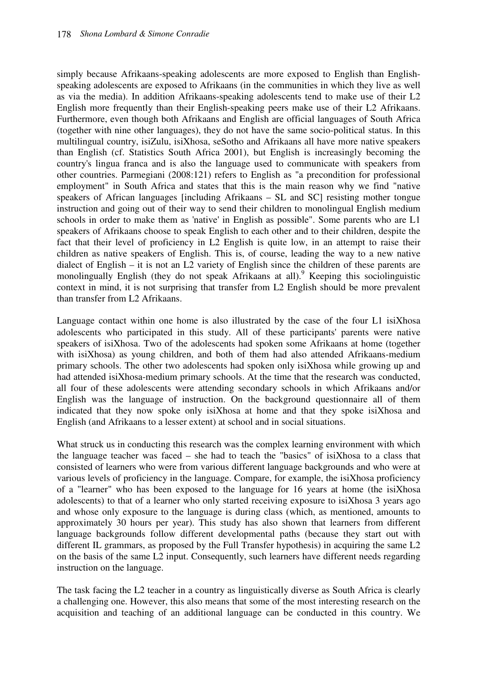simply because Afrikaans-speaking adolescents are more exposed to English than Englishspeaking adolescents are exposed to Afrikaans (in the communities in which they live as well as via the media). In addition Afrikaans-speaking adolescents tend to make use of their L2 English more frequently than their English-speaking peers make use of their L2 Afrikaans. Furthermore, even though both Afrikaans and English are official languages of South Africa (together with nine other languages), they do not have the same socio-political status. In this multilingual country, isiZulu, isiXhosa, seSotho and Afrikaans all have more native speakers than English (cf. Statistics South Africa 2001), but English is increasingly becoming the country's lingua franca and is also the language used to communicate with speakers from other countries. Parmegiani (2008:121) refers to English as "a precondition for professional employment" in South Africa and states that this is the main reason why we find "native speakers of African languages [including Afrikaans – SL and SC] resisting mother tongue instruction and going out of their way to send their children to monolingual English medium schools in order to make them as 'native' in English as possible". Some parents who are L1 speakers of Afrikaans choose to speak English to each other and to their children, despite the fact that their level of proficiency in L2 English is quite low, in an attempt to raise their children as native speakers of English. This is, of course, leading the way to a new native dialect of English – it is not an L2 variety of English since the children of these parents are monolingually English (they do not speak Afrikaans at all).<sup>9</sup> Keeping this sociolinguistic context in mind, it is not surprising that transfer from L2 English should be more prevalent than transfer from L2 Afrikaans.

Language contact within one home is also illustrated by the case of the four L1 isiXhosa adolescents who participated in this study. All of these participants' parents were native speakers of isiXhosa. Two of the adolescents had spoken some Afrikaans at home (together with isiXhosa) as young children, and both of them had also attended Afrikaans-medium primary schools. The other two adolescents had spoken only isiXhosa while growing up and had attended isiXhosa-medium primary schools. At the time that the research was conducted, all four of these adolescents were attending secondary schools in which Afrikaans and/or English was the language of instruction. On the background questionnaire all of them indicated that they now spoke only isiXhosa at home and that they spoke isiXhosa and English (and Afrikaans to a lesser extent) at school and in social situations.

What struck us in conducting this research was the complex learning environment with which the language teacher was faced – she had to teach the "basics" of isiXhosa to a class that consisted of learners who were from various different language backgrounds and who were at various levels of proficiency in the language. Compare, for example, the isiXhosa proficiency of a "learner" who has been exposed to the language for 16 years at home (the isiXhosa adolescents) to that of a learner who only started receiving exposure to isiXhosa 3 years ago and whose only exposure to the language is during class (which, as mentioned, amounts to approximately 30 hours per year). This study has also shown that learners from different language backgrounds follow different developmental paths (because they start out with different IL grammars, as proposed by the Full Transfer hypothesis) in acquiring the same L2 on the basis of the same L2 input. Consequently, such learners have different needs regarding instruction on the language.

The task facing the L2 teacher in a country as linguistically diverse as South Africa is clearly a challenging one. However, this also means that some of the most interesting research on the acquisition and teaching of an additional language can be conducted in this country. We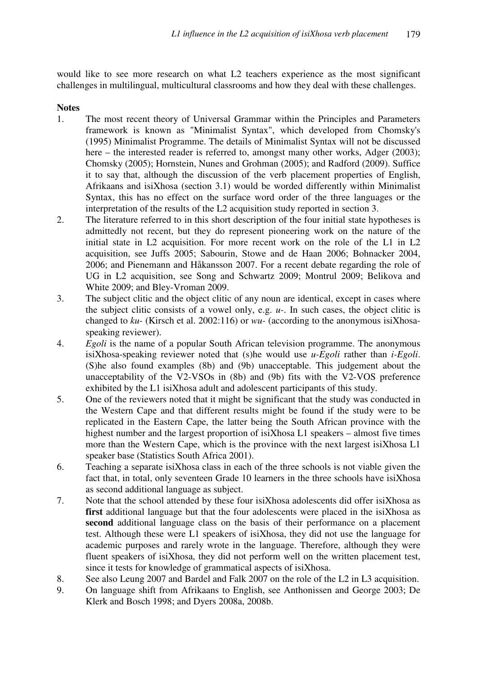would like to see more research on what L2 teachers experience as the most significant challenges in multilingual, multicultural classrooms and how they deal with these challenges.

## **Notes**

- 1. The most recent theory of Universal Grammar within the Principles and Parameters framework is known as "Minimalist Syntax", which developed from Chomsky's (1995) Minimalist Programme. The details of Minimalist Syntax will not be discussed here – the interested reader is referred to, amongst many other works, Adger (2003); Chomsky (2005); Hornstein, Nunes and Grohman (2005); and Radford (2009). Suffice it to say that, although the discussion of the verb placement properties of English, Afrikaans and isiXhosa (section 3.1) would be worded differently within Minimalist Syntax, this has no effect on the surface word order of the three languages or the interpretation of the results of the L2 acquisition study reported in section 3.
- 2. The literature referred to in this short description of the four initial state hypotheses is admittedly not recent, but they do represent pioneering work on the nature of the initial state in L2 acquisition. For more recent work on the role of the L1 in L2 acquisition, see Juffs 2005; Sabourin, Stowe and de Haan 2006; Bohnacker 2004, 2006; and Pienemann and Håkansson 2007. For a recent debate regarding the role of UG in L2 acquisition, see Song and Schwartz 2009; Montrul 2009; Belikova and White 2009; and Bley-Vroman 2009.
- 3. The subject clitic and the object clitic of any noun are identical, except in cases where the subject clitic consists of a vowel only, e.g. *u-*. In such cases, the object clitic is changed to *ku-* (Kirsch et al. 2002:116) or *wu-* (according to the anonymous isiXhosaspeaking reviewer).
- 4. *Egoli* is the name of a popular South African television programme. The anonymous isiXhosa-speaking reviewer noted that (s)he would use *u-Egoli* rather than *i-Egoli*. (S)he also found examples (8b) and (9b) unacceptable. This judgement about the unacceptability of the V2-VSOs in (8b) and (9b) fits with the V2-VOS preference exhibited by the L1 isiXhosa adult and adolescent participants of this study.
- 5. One of the reviewers noted that it might be significant that the study was conducted in the Western Cape and that different results might be found if the study were to be replicated in the Eastern Cape, the latter being the South African province with the highest number and the largest proportion of isiXhosa L1 speakers – almost five times more than the Western Cape, which is the province with the next largest isiXhosa L1 speaker base (Statistics South Africa 2001).
- 6. Teaching a separate isiXhosa class in each of the three schools is not viable given the fact that, in total, only seventeen Grade 10 learners in the three schools have isiXhosa as second additional language as subject.
- 7. Note that the school attended by these four isiXhosa adolescents did offer isiXhosa as first additional language but that the four adolescents were placed in the isiXhosa as **second** additional language class on the basis of their performance on a placement test. Although these were L1 speakers of isiXhosa, they did not use the language for academic purposes and rarely wrote in the language. Therefore, although they were fluent speakers of isiXhosa, they did not perform well on the written placement test, since it tests for knowledge of grammatical aspects of isiXhosa.
- 8. See also Leung 2007 and Bardel and Falk 2007 on the role of the L2 in L3 acquisition.
- 9. On language shift from Afrikaans to English, see Anthonissen and George 2003; De Klerk and Bosch 1998; and Dyers 2008a, 2008b.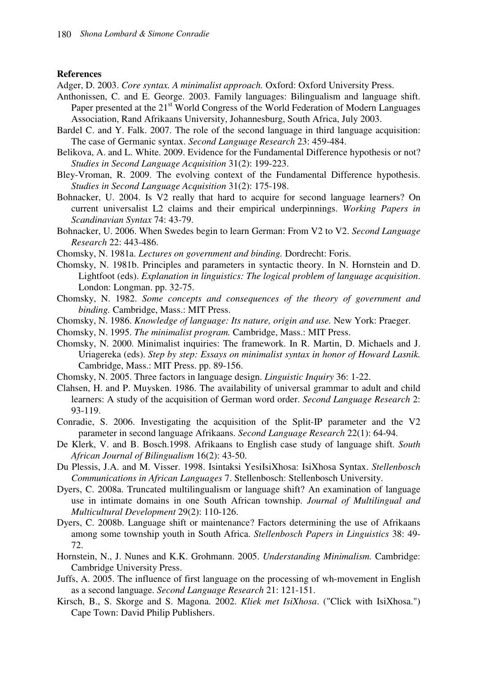#### **References**

Adger, D. 2003. *Core syntax. A minimalist approach.* Oxford: Oxford University Press.

- Anthonissen, C. and E. George. 2003. Family languages: Bilingualism and language shift. Paper presented at the 21<sup>st</sup> World Congress of the World Federation of Modern Languages Association, Rand Afrikaans University, Johannesburg, South Africa, July 2003.
- Bardel C. and Y. Falk. 2007. The role of the second language in third language acquisition: The case of Germanic syntax. *Second Language Research* 23: 459-484.
- Belikova, A. and L. White. 2009. Evidence for the Fundamental Difference hypothesis or not? *Studies in Second Language Acquisition* 31(2): 199-223.
- Bley-Vroman, R. 2009. The evolving context of the Fundamental Difference hypothesis. *Studies in Second Language Acquisition* 31(2): 175-198.
- Bohnacker, U. 2004. Is V2 really that hard to acquire for second language learners? On current universalist L2 claims and their empirical underpinnings. *Working Papers in Scandinavian Syntax* 74: 43-79.
- Bohnacker, U. 2006. When Swedes begin to learn German: From V2 to V2. *Second Language Research* 22: 443-486.
- Chomsky, N. 1981a. *Lectures on government and binding.* Dordrecht: Foris.
- Chomsky, N. 1981b. Principles and parameters in syntactic theory. In N. Hornstein and D. Lightfoot (eds). *Explanation in linguistics: The logical problem of language acquisition*. London: Longman. pp. 32-75.
- Chomsky, N. 1982. *Some concepts and consequences of the theory of government and binding.* Cambridge, Mass.: MIT Press.
- Chomsky, N. 1986. *Knowledge of language: Its nature, origin and use.* New York: Praeger.
- Chomsky, N. 1995. *The minimalist program.* Cambridge, Mass.: MIT Press.
- Chomsky, N. 2000. Minimalist inquiries: The framework. In R. Martin, D. Michaels and J. Uriagereka (eds). *Step by step: Essays on minimalist syntax in honor of Howard Lasnik.* Cambridge, Mass.: MIT Press. pp. 89-156.
- Chomsky, N. 2005. Three factors in language design. *Linguistic Inquiry* 36: 1-22.
- Clahsen, H. and P. Muysken. 1986. The availability of universal grammar to adult and child learners: A study of the acquisition of German word order. *Second Language Research* 2: 93-119.
- Conradie, S. 2006. Investigating the acquisition of the Split-IP parameter and the V2 parameter in second language Afrikaans. *Second Language Research* 22(1): 64-94.
- De Klerk, V. and B. Bosch.1998. Afrikaans to English case study of language shift. *South African Journal of Bilingualism* 16(2): 43-50.
- Du Plessis, J.A. and M. Visser. 1998. Isintaksi YesiIsiXhosa: IsiXhosa Syntax. *Stellenbosch Communications in African Languages* 7. Stellenbosch: Stellenbosch University.
- Dyers, C. 2008a. Truncated multilingualism or language shift? An examination of language use in intimate domains in one South African township. *Journal of Multilingual and Multicultural Development* 29(2): 110-126.
- Dyers, C. 2008b. Language shift or maintenance? Factors determining the use of Afrikaans among some township youth in South Africa. *Stellenbosch Papers in Linguistics* 38: 49- 72.
- Hornstein, N., J. Nunes and K.K. Grohmann. 2005. *Understanding Minimalism.* Cambridge: Cambridge University Press.
- Juffs, A. 2005. The influence of first language on the processing of wh-movement in English as a second language. *Second Language Research* 21: 121-151.
- Kirsch, B., S. Skorge and S. Magona. 2002. *Kliek met IsiXhosa*. ("Click with IsiXhosa.") Cape Town: David Philip Publishers.